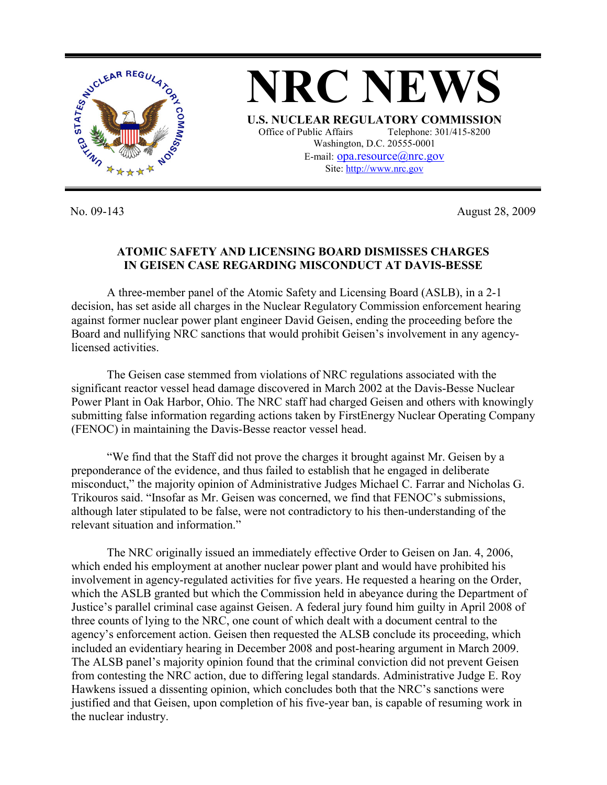

No. 09-143 August 28, 2009

## **ATOMIC SAFETY AND LICENSING BOARD DISMISSES CHARGES IN GEISEN CASE REGARDING MISCONDUCT AT DAVIS-BESSE**

 A three-member panel of the Atomic Safety and Licensing Board (ASLB), in a 2-1 decision, has set aside all charges in the Nuclear Regulatory Commission enforcement hearing against former nuclear power plant engineer David Geisen, ending the proceeding before the Board and nullifying NRC sanctions that would prohibit Geisen's involvement in any agencylicensed activities.

The Geisen case stemmed from violations of NRC regulations associated with the significant reactor vessel head damage discovered in March 2002 at the Davis-Besse Nuclear Power Plant in Oak Harbor, Ohio. The NRC staff had charged Geisen and others with knowingly submitting false information regarding actions taken by FirstEnergy Nuclear Operating Company (FENOC) in maintaining the Davis-Besse reactor vessel head.

"We find that the Staff did not prove the charges it brought against Mr. Geisen by a preponderance of the evidence, and thus failed to establish that he engaged in deliberate misconduct," the majority opinion of Administrative Judges Michael C. Farrar and Nicholas G. Trikouros said. "Insofar as Mr. Geisen was concerned, we find that FENOC's submissions, although later stipulated to be false, were not contradictory to his then-understanding of the relevant situation and information."

The NRC originally issued an immediately effective Order to Geisen on Jan. 4, 2006, which ended his employment at another nuclear power plant and would have prohibited his involvement in agency-regulated activities for five years. He requested a hearing on the Order, which the ASLB granted but which the Commission held in abeyance during the Department of Justice's parallel criminal case against Geisen. A federal jury found him guilty in April 2008 of three counts of lying to the NRC, one count of which dealt with a document central to the agency's enforcement action. Geisen then requested the ALSB conclude its proceeding, which included an evidentiary hearing in December 2008 and post-hearing argument in March 2009. The ALSB panel's majority opinion found that the criminal conviction did not prevent Geisen from contesting the NRC action, due to differing legal standards. Administrative Judge E. Roy Hawkens issued a dissenting opinion, which concludes both that the NRC's sanctions were justified and that Geisen, upon completion of his five-year ban, is capable of resuming work in the nuclear industry.